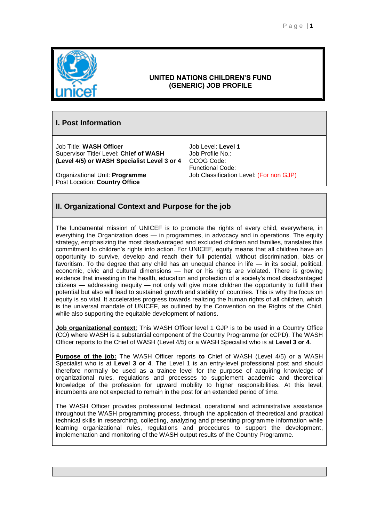

### **UNITED NATIONS CHILDREN'S FUND (GENERIC) JOB PROFILE**

# **I. Post Information**

Job Title: **WASH Officer** Supervisor Title/ Level: **Chief of WASH (Level 4/5) or WASH Specialist Level 3 or 4**

Organizational Unit: **Programme** Post Location: **Country Office**

Job Level: **Level 1** Job Profile No.: CCOG Code: Functional Code: Job Classification Level: (For non GJP)

# **II. Organizational Context and Purpose for the job**

The fundamental mission of UNICEF is to promote the rights of every child, everywhere, in everything the Organization does — in programmes, in advocacy and in operations. The equity strategy, emphasizing the most disadvantaged and excluded children and families, translates this commitment to children's rights into action. For UNICEF, equity means that all children have an opportunity to survive, develop and reach their full potential, without discrimination, bias or favoritism. To the degree that any child has an unequal chance in life — in its social, political, economic, civic and cultural dimensions — her or his rights are violated. There is growing evidence that investing in the health, education and protection of a society's most disadvantaged citizens — addressing inequity — not only will give more children the opportunity to fulfill their potential but also will lead to sustained growth and stability of countries. This is why the focus on equity is so vital. It accelerates progress towards realizing the human rights of all children, which is the universal mandate of UNICEF, as outlined by the Convention on the Rights of the Child, while also supporting the equitable development of nations.

**Job organizational context**: This WASH Officer level 1 GJP is to be used in a Country Office (CO) where WASH is a substantial component of the Country Programme (or cCPD). The WASH Officer reports to the Chief of WASH (Level 4/5) or a WASH Specialist who is at **Level 3 or 4**.

**Purpose of the job:** The WASH Officer reports **to** Chief of WASH (Level 4/5) or a WASH Specialist who is at **Level 3 or 4**. The Level 1 is an entry-level professional post and should therefore normally be used as a trainee level for the purpose of acquiring knowledge of organizational rules, regulations and processes to supplement academic and theoretical knowledge of the profession for upward mobility to higher responsibilities. At this level, incumbents are not expected to remain in the post for an extended period of time.

The WASH Officer provides professional technical, operational and administrative assistance throughout the WASH programming process, through the application of theoretical and practical technical skills in researching, collecting, analyzing and presenting programme information while learning organizational rules, regulations and procedures to support the development, implementation and monitoring of the WASH output results of the Country Programme.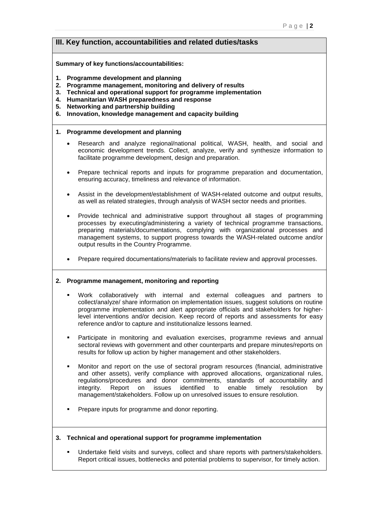## **III. Key function, accountabilities and related duties/tasks**

#### **Summary of key functions/accountabilities:**

- **1. Programme development and planning**
- **2. Programme management, monitoring and delivery of results**
- **3. Technical and operational support for programme implementation**
- **4. Humanitarian WASH preparedness and response**
- **5. Networking and partnership building**
- **6. Innovation, knowledge management and capacity building**

#### **1. Programme development and planning**

- Research and analyze regional/national political, WASH, health, and social and economic development trends. Collect, analyze, verify and synthesize information to facilitate programme development, design and preparation.
- Prepare technical reports and inputs for programme preparation and documentation, ensuring accuracy, timeliness and relevance of information.
- Assist in the development/establishment of WASH-related outcome and output results, as well as related strategies, through analysis of WASH sector needs and priorities.
- Provide technical and administrative support throughout all stages of programming processes by executing/administering a variety of technical programme transactions, preparing materials/documentations, complying with organizational processes and management systems, to support progress towards the WASH-related outcome and/or output results in the Country Programme.
- Prepare required documentations/materials to facilitate review and approval processes.

#### **2. Programme management, monitoring and reporting**

- Work collaboratively with internal and external colleagues and partners to collect/analyze/ share information on implementation issues, suggest solutions on routine programme implementation and alert appropriate officials and stakeholders for higherlevel interventions and/or decision. Keep record of reports and assessments for easy reference and/or to capture and institutionalize lessons learned.
- Participate in monitoring and evaluation exercises, programme reviews and annual sectoral reviews with government and other counterparts and prepare minutes/reports on results for follow up action by higher management and other stakeholders.
- Monitor and report on the use of sectoral program resources (financial, administrative and other assets), verify compliance with approved allocations, organizational rules, regulations/procedures and donor commitments, standards of accountability and integrity. Report on issues identified to enable timely resolution by management/stakeholders. Follow up on unresolved issues to ensure resolution.
- Prepare inputs for programme and donor reporting.

#### **3. Technical and operational support for programme implementation**

Undertake field visits and surveys, collect and share reports with partners/stakeholders. Report critical issues, bottlenecks and potential problems to supervisor, for timely action.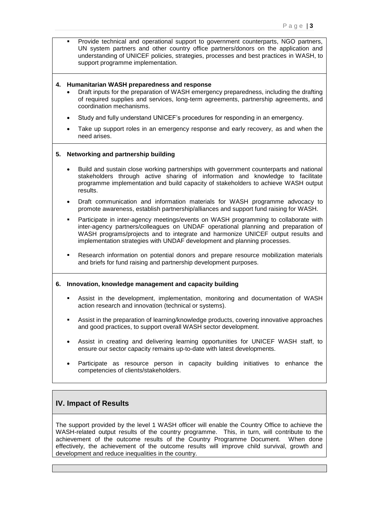Provide technical and operational support to government counterparts, NGO partners, UN system partners and other country office partners/donors on the application and understanding of UNICEF policies, strategies, processes and best practices in WASH, to support programme implementation.

#### **4. Humanitarian WASH preparedness and response**

- Draft inputs for the preparation of WASH emergency preparedness, including the drafting of required supplies and services, long-term agreements, partnership agreements, and coordination mechanisms.
- Study and fully understand UNICEF's procedures for responding in an emergency.
- Take up support roles in an emergency response and early recovery, as and when the need arises.

#### **5. Networking and partnership building**

- Build and sustain close working partnerships with government counterparts and national stakeholders through active sharing of information and knowledge to facilitate programme implementation and build capacity of stakeholders to achieve WASH output results.
- Draft communication and information materials for WASH programme advocacy to promote awareness, establish partnership/alliances and support fund raising for WASH.
- Participate in inter-agency meetings/events on WASH programming to collaborate with inter-agency partners/colleagues on UNDAF operational planning and preparation of WASH programs/projects and to integrate and harmonize UNICEF output results and implementation strategies with UNDAF development and planning processes.
- Research information on potential donors and prepare resource mobilization materials and briefs for fund raising and partnership development purposes.

#### **6. Innovation, knowledge management and capacity building**

- Assist in the development, implementation, monitoring and documentation of WASH action research and innovation (technical or systems).
- Assist in the preparation of learning/knowledge products, covering innovative approaches and good practices, to support overall WASH sector development.
- Assist in creating and delivering learning opportunities for UNICEF WASH staff, to ensure our sector capacity remains up-to-date with latest developments.
- Participate as resource person in capacity building initiatives to enhance the competencies of clients/stakeholders.

### **IV. Impact of Results**

The support provided by the level 1 WASH officer will enable the Country Office to achieve the WASH-related output results of the country programme. This, in turn, will contribute to the achievement of the outcome results of the Country Programme Document. When done effectively, the achievement of the outcome results will improve child survival, growth and development and reduce inequalities in the country.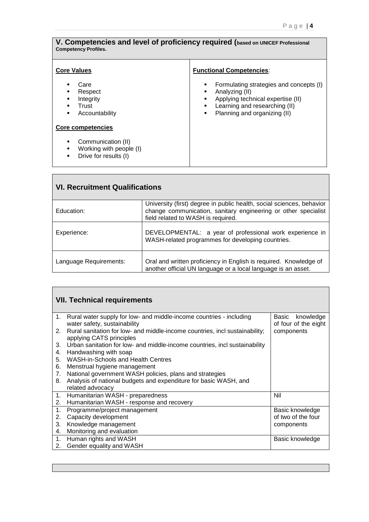| <b>Functional Competencies:</b><br><b>Core Values</b><br>Care<br>Formulating strategies and concepts (I)<br>п<br>Analyzing (II)<br>Respect<br>٠<br>٠<br>Integrity<br>Applying technical expertise (II)<br>٠<br>Learning and researching (II)<br>Trust<br>٠<br>Planning and organizing (II)<br>Accountability<br>٠<br>٠<br><b>Core competencies</b><br>Communication (II)<br>٠<br>Working with people (I)<br>Drive for results (I) | V. Competencies and level of proficiency required (based on UNICEF Professional<br><b>Competency Profiles.</b> |  |  |  |  |
|-----------------------------------------------------------------------------------------------------------------------------------------------------------------------------------------------------------------------------------------------------------------------------------------------------------------------------------------------------------------------------------------------------------------------------------|----------------------------------------------------------------------------------------------------------------|--|--|--|--|
|                                                                                                                                                                                                                                                                                                                                                                                                                                   |                                                                                                                |  |  |  |  |

| <b>VI. Recruitment Qualifications</b> |                                                                                                                                                                               |  |  |  |
|---------------------------------------|-------------------------------------------------------------------------------------------------------------------------------------------------------------------------------|--|--|--|
| Education:                            | University (first) degree in public health, social sciences, behavior<br>change communication, sanitary engineering or other specialist<br>field related to WASH is required. |  |  |  |
| Experience:                           | DEVELOPMENTAL: a year of professional work experience in<br>WASH-related programmes for developing countries.                                                                 |  |  |  |
| Language Requirements:                | Oral and written proficiency in English is required. Knowledge of<br>another official UN language or a local language is an asset.                                            |  |  |  |

|    | <b>VII. Technical requirements</b>                                                                      |                                            |  |  |  |
|----|---------------------------------------------------------------------------------------------------------|--------------------------------------------|--|--|--|
| 1. | Rural water supply for low- and middle-income countries - including<br>water safety, sustainability     | knowledge<br>Basic<br>of four of the eight |  |  |  |
| 2. | Rural sanitation for low- and middle-income countries, incl sustainability;<br>applying CATS principles | components                                 |  |  |  |
| 3. | Urban sanitation for low- and middle-income countries, incl sustainability                              |                                            |  |  |  |
| 4. | Handwashing with soap                                                                                   |                                            |  |  |  |
| 5. | <b>WASH-in-Schools and Health Centres</b>                                                               |                                            |  |  |  |
| 6. | Menstrual hygiene management                                                                            |                                            |  |  |  |
| 7. | National government WASH policies, plans and strategies                                                 |                                            |  |  |  |
| 8. | Analysis of national budgets and expenditure for basic WASH, and                                        |                                            |  |  |  |
|    | related advocacy                                                                                        |                                            |  |  |  |
| 1. | Humanitarian WASH - preparedness                                                                        | Nil                                        |  |  |  |
| 2. | Humanitarian WASH - response and recovery                                                               |                                            |  |  |  |
| 1. | Programme/project management                                                                            | Basic knowledge                            |  |  |  |
| 2. | Capacity development                                                                                    | of two of the four                         |  |  |  |
| 3. | Knowledge management                                                                                    | components                                 |  |  |  |
| 4. | Monitoring and evaluation                                                                               |                                            |  |  |  |
| 1. | Human rights and WASH                                                                                   | Basic knowledge                            |  |  |  |
| 2. | Gender equality and WASH                                                                                |                                            |  |  |  |